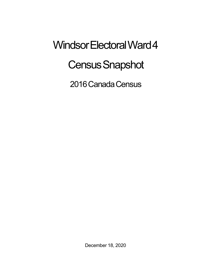## Windsor Electoral Ward 4 **Census Snapshot**

2016 Canada Census

December 18, 2020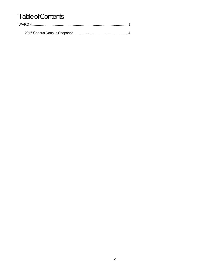## **Table of Contents**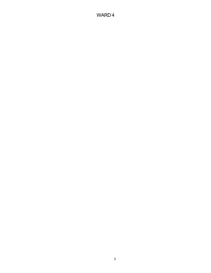## WARD 4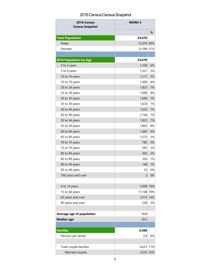## 2016 Census Census Snapshot

| 2016 Census<br><b>Census Snapshot</b> | <b>WARD4</b>   |    |
|---------------------------------------|----------------|----|
|                                       |                | %  |
| <b>Total Population</b>               | 24,670         |    |
| Males                                 | 12,074 49%     |    |
| Females                               | 12,596 51%     |    |
|                                       |                |    |
| <b>2016 Population by Age</b>         | 24,670         |    |
| 0 to 4 years                          | 1,359          | 6% |
| 5 to 9 years                          | 1,321          | 5% |
| 10 to 14 years                        | 1,217          | 5% |
| 15 to 19 years                        | 1,406          | 6% |
| 20 to 24 years                        | 1,823          | 7% |
| 25 to 29 years                        | 1,996          | 8% |
| 30 to 34 years                        | 1,696          | 7% |
| 35 to 39 years                        | 1,624          | 7% |
| 40 to 44 years                        | 1,625          | 7% |
| 45 to 49 years                        | 1,746          | 7% |
| 50 to 54 years                        | 1,823          | 7% |
| 55 to 59 years                        | 1,863          | 8% |
| 60 to 64 years                        | 1,483          | 6% |
| 65 to 69 years                        | 1,275          | 5% |
| 70 to 74 years                        | 785            | 3% |
| 75 to 79 years                        | 583            | 2% |
| 80 to 84 years                        | 436            | 2% |
| 85 to 89 years                        | 326            | 1% |
| 90 to 94 years                        | 148            | 1% |
| 95 to 99 years                        | 25             | 0% |
| 100 years and over                    | $\overline{c}$ | 0% |
|                                       |                |    |
| 0 to 14 years                         | 3,908 16%      |    |
| 15 to 64 years                        | 17,148 70%     |    |
| 65 years and over                     | 3,572 14%      |    |
| 85 years and over                     | 538            | 2% |
|                                       |                |    |
| Average age of population             | 39.8           |    |
| <b>Median age</b>                     | 39.5           |    |
|                                       |                |    |
| <b>Families</b>                       | 6,486          |    |
| Persons per family                    | 2.8            | 0% |
|                                       |                |    |
| Total couple families                 | 4,631 71%      |    |
| Married couples                       | 3,555 55%      |    |